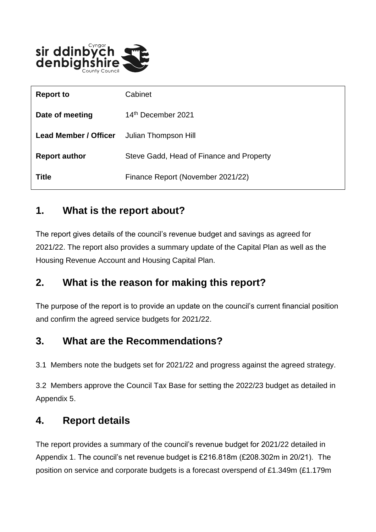

| <b>Report to</b>             | Cabinet                                  |
|------------------------------|------------------------------------------|
| Date of meeting              | 14th December 2021                       |
| <b>Lead Member / Officer</b> | Julian Thompson Hill                     |
| <b>Report author</b>         | Steve Gadd, Head of Finance and Property |
| <b>Title</b>                 | Finance Report (November 2021/22)        |

### **1. What is the report about?**

The report gives details of the council's revenue budget and savings as agreed for 2021/22. The report also provides a summary update of the Capital Plan as well as the Housing Revenue Account and Housing Capital Plan.

### **2. What is the reason for making this report?**

The purpose of the report is to provide an update on the council's current financial position and confirm the agreed service budgets for 2021/22.

## **3. What are the Recommendations?**

3.1 Members note the budgets set for 2021/22 and progress against the agreed strategy.

3.2 Members approve the Council Tax Base for setting the 2022/23 budget as detailed in Appendix 5.

### **4. Report details**

The report provides a summary of the council's revenue budget for 2021/22 detailed in Appendix 1. The council's net revenue budget is £216.818m (£208.302m in 20/21). The position on service and corporate budgets is a forecast overspend of £1.349m (£1.179m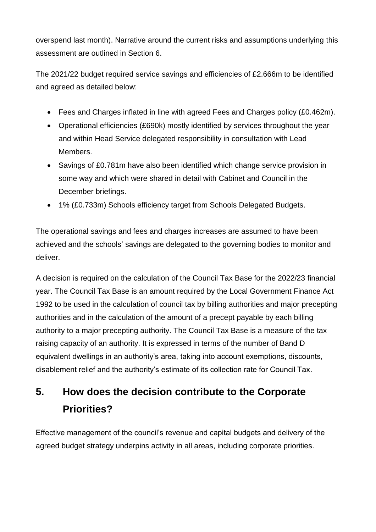overspend last month). Narrative around the current risks and assumptions underlying this assessment are outlined in Section 6.

The 2021/22 budget required service savings and efficiencies of £2.666m to be identified and agreed as detailed below:

- Fees and Charges inflated in line with agreed Fees and Charges policy (£0.462m).
- Operational efficiencies (£690k) mostly identified by services throughout the year and within Head Service delegated responsibility in consultation with Lead Members.
- Savings of £0.781m have also been identified which change service provision in some way and which were shared in detail with Cabinet and Council in the December briefings.
- 1% (£0.733m) Schools efficiency target from Schools Delegated Budgets.

The operational savings and fees and charges increases are assumed to have been achieved and the schools' savings are delegated to the governing bodies to monitor and deliver.

A decision is required on the calculation of the Council Tax Base for the 2022/23 financial year. The Council Tax Base is an amount required by the Local Government Finance Act 1992 to be used in the calculation of council tax by billing authorities and major precepting authorities and in the calculation of the amount of a precept payable by each billing authority to a major precepting authority. The Council Tax Base is a measure of the tax raising capacity of an authority. It is expressed in terms of the number of Band D equivalent dwellings in an authority's area, taking into account exemptions, discounts, disablement relief and the authority's estimate of its collection rate for Council Tax.

# **5. How does the decision contribute to the Corporate Priorities?**

Effective management of the council's revenue and capital budgets and delivery of the agreed budget strategy underpins activity in all areas, including corporate priorities.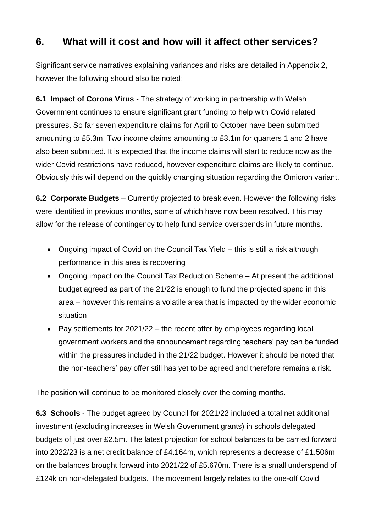### **6. What will it cost and how will it affect other services?**

Significant service narratives explaining variances and risks are detailed in Appendix 2, however the following should also be noted:

**6.1 Impact of Corona Virus** - The strategy of working in partnership with Welsh Government continues to ensure significant grant funding to help with Covid related pressures. So far seven expenditure claims for April to October have been submitted amounting to £5.3m. Two income claims amounting to £3.1m for quarters 1 and 2 have also been submitted. It is expected that the income claims will start to reduce now as the wider Covid restrictions have reduced, however expenditure claims are likely to continue. Obviously this will depend on the quickly changing situation regarding the Omicron variant.

**6.2 Corporate Budgets** – Currently projected to break even. However the following risks were identified in previous months, some of which have now been resolved. This may allow for the release of contingency to help fund service overspends in future months.

- Ongoing impact of Covid on the Council Tax Yield this is still a risk although performance in this area is recovering
- Ongoing impact on the Council Tax Reduction Scheme At present the additional budget agreed as part of the 21/22 is enough to fund the projected spend in this area – however this remains a volatile area that is impacted by the wider economic situation
- Pay settlements for  $2021/22$  the recent offer by employees regarding local government workers and the announcement regarding teachers' pay can be funded within the pressures included in the 21/22 budget. However it should be noted that the non-teachers' pay offer still has yet to be agreed and therefore remains a risk.

The position will continue to be monitored closely over the coming months.

**6.3 Schools** - The budget agreed by Council for 2021/22 included a total net additional investment (excluding increases in Welsh Government grants) in schools delegated budgets of just over £2.5m. The latest projection for school balances to be carried forward into 2022/23 is a net credit balance of £4.164m, which represents a decrease of £1.506m on the balances brought forward into 2021/22 of £5.670m. There is a small underspend of £124k on non-delegated budgets. The movement largely relates to the one-off Covid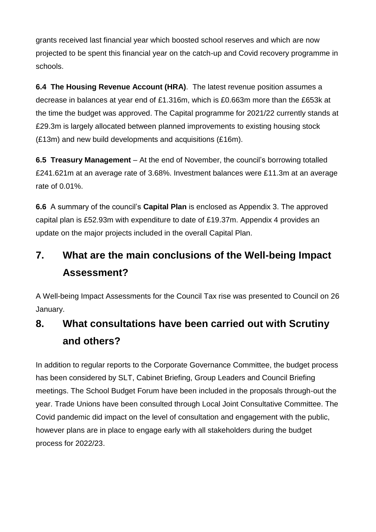grants received last financial year which boosted school reserves and which are now projected to be spent this financial year on the catch-up and Covid recovery programme in schools.

**6.4 The Housing Revenue Account (HRA)**. The latest revenue position assumes a decrease in balances at year end of £1.316m, which is £0.663m more than the £653k at the time the budget was approved. The Capital programme for 2021/22 currently stands at £29.3m is largely allocated between planned improvements to existing housing stock (£13m) and new build developments and acquisitions (£16m).

**6.5 Treasury Management** – At the end of November, the council's borrowing totalled £241.621m at an average rate of 3.68%. Investment balances were £11.3m at an average rate of 0.01%.

**6.6** A summary of the council's **Capital Plan** is enclosed as Appendix 3. The approved capital plan is £52.93m with expenditure to date of £19.37m. Appendix 4 provides an update on the major projects included in the overall Capital Plan.

# **7. What are the main conclusions of the Well-being Impact Assessment?**

A Well-being Impact Assessments for the Council Tax rise was presented to Council on 26 January.

## **8. What consultations have been carried out with Scrutiny and others?**

In addition to regular reports to the Corporate Governance Committee, the budget process has been considered by SLT, Cabinet Briefing, Group Leaders and Council Briefing meetings. The School Budget Forum have been included in the proposals through-out the year. Trade Unions have been consulted through Local Joint Consultative Committee. The Covid pandemic did impact on the level of consultation and engagement with the public, however plans are in place to engage early with all stakeholders during the budget process for 2022/23.